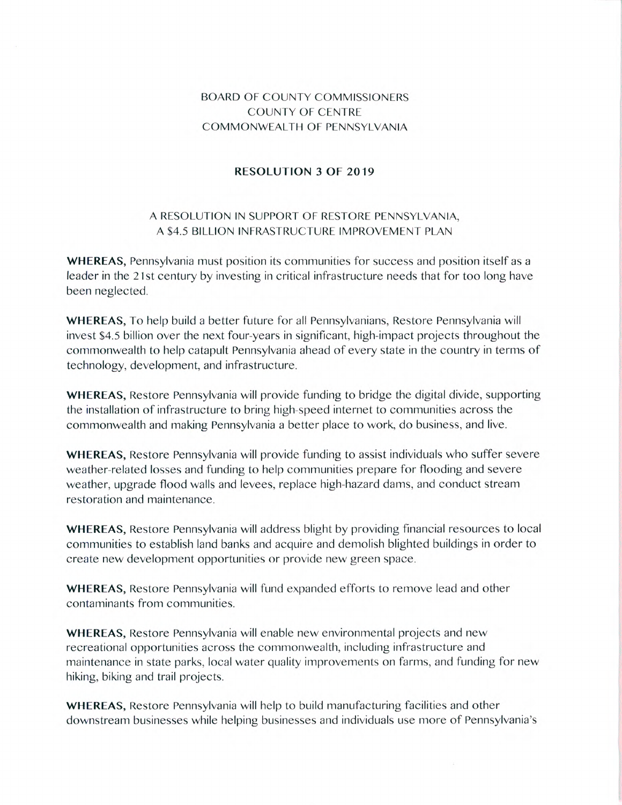## BOARD OF COUNTY COMMISSIONERS COUNTY OF CENTRE COMMONWEALTH OF PENNSYLVANIA

## **RESOLUTION 3 OF 2019**

## A RESOLUTION IN SUPPORT OF RESTORE PENNSYLVANIA, A \$4.5 BILLION INFRASTRUCTURE IMPROVEMENT PLAN

**WHEREAS,** Pennsylvania must position its communities for success and position itself as a leader in the 21st century by investing in critical infrastructure needs that for too long have been neglected.

**WHEREAS,** To help build a better future for all Pennsylvanians, Restore Pennsylvania will invest \$4.5 billion over the next four-years in significant, high-impact projects throughout the commonwealth to help catapult Pennsylvania ahead of every state in the country in terms of technology, development, and infrastructure.

**WHEREAS,** Restore Pennsylvania will provide funding to bridge the digital divide, supporting the installation of infrastructure to bring high-speed internet to communities across the commonwealth and making Pennsylvania a better place to work, do business, and live.

**WHEREAS,** Restore Pennsylvania will provide funding to assist individuals who suffer severe weather-related losses and funding to help communities prepare for flooding and severe weather, upgrade flood walls and levees, replace high-hazard dams, and conduct stream restoration and maintenance.

**WHEREAS,** Restore Pennsylvania will address blight by providing financial resources to local communities to establish land banks and acquire and demolish blighted buildings in order to create new development opportunities or provide new green space.

WHEREAS, Restore Pennsylvania will fund expanded efforts to remove lead and other contaminants from communities.

**WHEREAS,** Restore Pennsylvania will enable new environmental projects and new recreational opportunities across the commonwealth, including infrastructure and maintenance in state parks, local water quality improvements on farms, and funding for new hiking, biking and trail projects.

**WHEREAS,** Restore Pennsylvania will help to build manufacturing facilities and other downstream businesses while helping businesses and individuals use more of Pennsylvania's